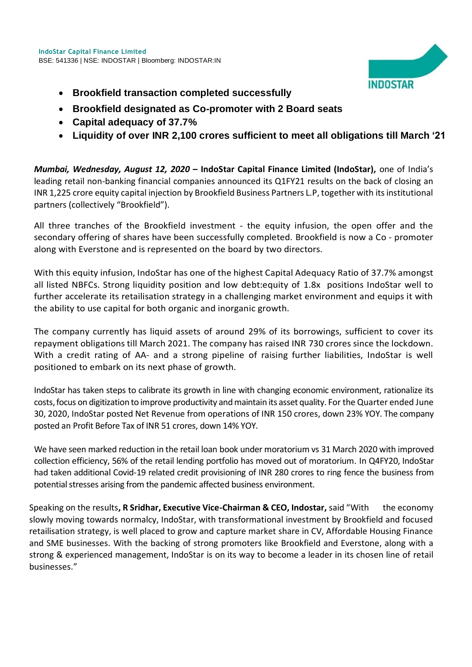

- **Brookfield transaction completed successfully**
- **Brookfield designated as Co-promoter with 2 Board seats**
- **Capital adequacy of 37.7%**
- **Liquidity of over INR 2,100 crores sufficient to meet all obligations till March '21**

*Mumbai, Wednesday, August 12, 2020* **– IndoStar Capital Finance Limited (IndoStar),** one of India's leading retail non-banking financial companies announced its Q1FY21 results on the back of closing an INR 1,225 crore equity capital injection by Brookfield Business Partners L.P, together with its institutional partners (collectively "Brookfield").

All three tranches of the Brookfield investment - the equity infusion, the open offer and the secondary offering of shares have been successfully completed. Brookfield is now a Co - promoter along with Everstone and is represented on the board by two directors.

With this equity infusion, IndoStar has one of the highest Capital Adequacy Ratio of 37.7% amongst all listed NBFCs. Strong liquidity position and low debt:equity of 1.8x positions IndoStar well to further accelerate its retailisation strategy in a challenging market environment and equips it with the ability to use capital for both organic and inorganic growth.

The company currently has liquid assets of around 29% of its borrowings, sufficient to cover its repayment obligations till March 2021. The company has raised INR 730 crores since the lockdown. With a credit rating of AA- and a strong pipeline of raising further liabilities, IndoStar is well positioned to embark on its next phase of growth.

IndoStar has taken steps to calibrate its growth in line with changing economic environment, rationalize its costs, focus on digitization to improve productivity and maintain its asset quality. For the Quarter ended June 30, 2020, IndoStar posted Net Revenue from operations of INR 150 crores, down 23% YOY. The company posted an Profit Before Tax of INR 51 crores, down 14% YOY.

We have seen marked reduction in the retail loan book under moratorium vs 31 March 2020 with improved collection efficiency, 56% of the retail lending portfolio has moved out of moratorium. In Q4FY20, IndoStar had taken additional Covid-19 related credit provisioning of INR 280 crores to ring fence the business from potential stresses arising from the pandemic affected business environment.

Speaking on the results**, R Sridhar, Executive Vice-Chairman & CEO, Indostar,** said "With the economy slowly moving towards normalcy, IndoStar, with transformational investment by Brookfield and focused retailisation strategy, is well placed to grow and capture market share in CV, Affordable Housing Finance and SME businesses. With the backing of strong promoters like Brookfield and Everstone, along with a strong & experienced management, IndoStar is on its way to become a leader in its chosen line of retail businesses."